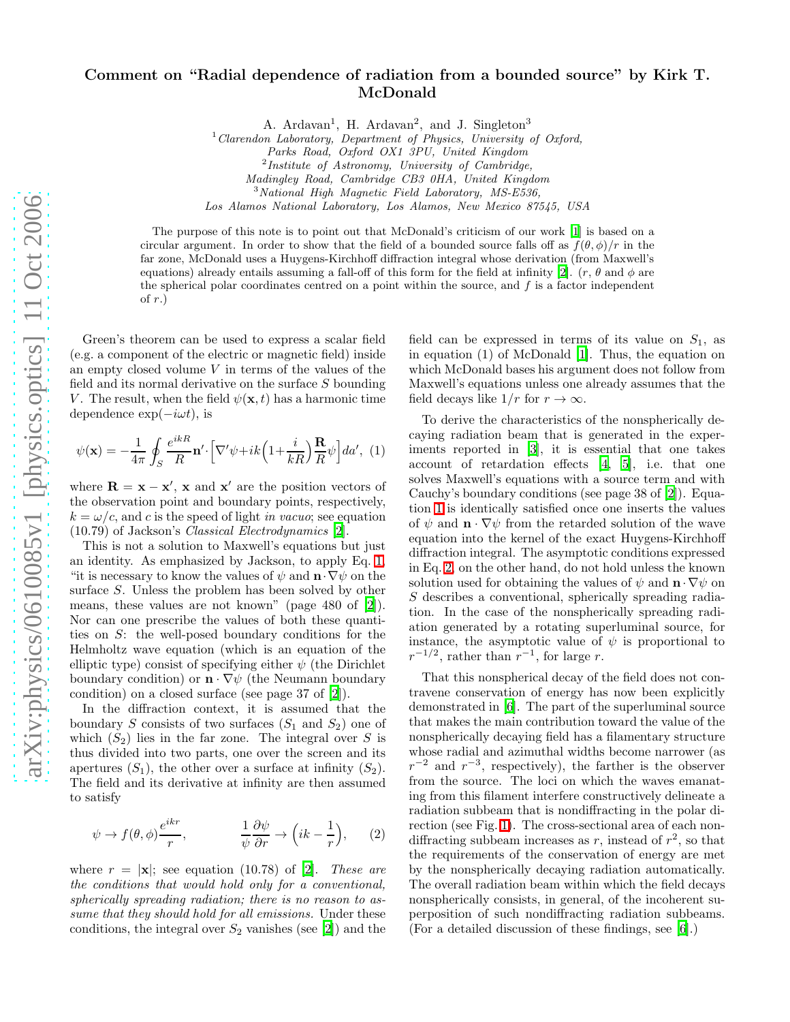## Comment on "Radial dependence of radiation from a bounded source" by Kirk T. McDonald

A. Ardavan<sup>1</sup>, H. Ardavan<sup>2</sup>, and J. Singleton<sup>3</sup>

 $1$  Clarendon Laboratory, Department of Physics, University of Oxford,

Parks Road, Oxford OX1 3PU, United Kingdom

<sup>2</sup>Institute of Astronomy, University of Cambridge,

Madingley Road, Cambridge CB3 0HA, United Kingdom

 $3$ National High Magnetic Field Laboratory, MS-E536,

Los Alamos National Laboratory, Los Alamos, New Mexico 87545, USA

The purpose of this note is to point out that McDonald's criticism of our work [\[1\]](#page-1-0) is based on a circular argument. In order to show that the field of a bounded source falls off as  $f(\theta, \phi)/r$  in the far zone, McDonald uses a Huygens-Kirchhoff diffraction integral whose derivation (from Maxwell's equations) already entails assuming a fall-off of this form for the field at infinity [\[2\]](#page-1-1).  $(r, \theta \text{ and } \phi \text{ are})$ the spherical polar coordinates centred on a point within the source, and  $f$  is a factor independent of  $r$ .)

Green's theorem can be used to express a scalar field (e.g. a component of the electric or magnetic field) inside an empty closed volume  $V$  in terms of the values of the field and its normal derivative on the surface S bounding V. The result, when the field  $\psi(\mathbf{x},t)$  has a harmonic time dependence  $\exp(-i\omega t)$ , is

<span id="page-0-0"></span>
$$
\psi(\mathbf{x}) = -\frac{1}{4\pi} \oint_{S} \frac{e^{ikR}}{R} \mathbf{n}' \cdot \left[ \nabla' \psi + ik \left( 1 + \frac{i}{kR} \right) \frac{\mathbf{R}}{R} \psi \right] da', \tag{1}
$$

where  $\mathbf{R} = \mathbf{x} - \mathbf{x}'$ ,  $\mathbf{x}$  and  $\mathbf{x}'$  are the position vectors of the observation point and boundary points, respectively,  $k = \omega/c$ , and c is the speed of light in vacuo; see equation (10.79) of Jackson's Classical Electrodynamics [\[2](#page-1-1)].

This is not a solution to Maxwell's equations but just an identity. As emphasized by Jackson, to apply Eq. [1,](#page-0-0) "it is necessary to know the values of  $\psi$  and  $\mathbf{n} \cdot \nabla \psi$  on the surface S. Unless the problem has been solved by other means, these values are not known" (page 480 of [\[2\]](#page-1-1)). Nor can one prescribe the values of both these quantities on S: the well-posed boundary conditions for the Helmholtz wave equation (which is an equation of the elliptic type) consist of specifying either  $\psi$  (the Dirichlet boundary condition) or  $\mathbf{n} \cdot \nabla \psi$  (the Neumann boundary condition) on a closed surface (see page 37 of [\[2](#page-1-1)]).

In the diffraction context, it is assumed that the boundary S consists of two surfaces  $(S_1 \text{ and } S_2)$  one of which  $(S_2)$  lies in the far zone. The integral over S is thus divided into two parts, one over the screen and its apertures  $(S_1)$ , the other over a surface at infinity  $(S_2)$ . The field and its derivative at infinity are then assumed to satisfy

<span id="page-0-1"></span>
$$
\psi \to f(\theta,\phi) \frac{e^{ikr}}{r}, \qquad \frac{1}{\psi} \frac{\partial \psi}{\partial r} \to \left(ik - \frac{1}{r}\right), \qquad (2)
$$

where  $r = |\mathbf{x}|$ ; see equation (10.78) of [\[2](#page-1-1)]. These are the conditions that would hold only for a conventional, spherically spreading radiation; there is no reason to assume that they should hold for all emissions. Under these conditions, the integral over  $S_2$  vanishes (see [\[2\]](#page-1-1)) and the

field can be expressed in terms of its value on  $S_1$ , as in equation (1) of McDonald [\[1](#page-1-0)]. Thus, the equation on which McDonald bases his argument does not follow from Maxwell's equations unless one already assumes that the field decays like  $1/r$  for  $r \to \infty$ .

To derive the characteristics of the nonspherically decaying radiation beam that is generated in the experiments reported in [\[3\]](#page-1-2), it is essential that one takes account of retardation effects [\[4](#page-1-3), [5\]](#page-1-4), i.e. that one solves Maxwell's equations with a source term and with Cauchy's boundary conditions (see page 38 of [\[2\]](#page-1-1)). Equation [1](#page-0-0) is identically satisfied once one inserts the values of  $\psi$  and  $\mathbf{n} \cdot \nabla \psi$  from the retarded solution of the wave equation into the kernel of the exact Huygens-Kirchhoff diffraction integral. The asymptotic conditions expressed in Eq. [2,](#page-0-1) on the other hand, do not hold unless the known solution used for obtaining the values of  $\psi$  and  $\mathbf{n} \cdot \nabla \psi$  on S describes a conventional, spherically spreading radiation. In the case of the nonspherically spreading radiation generated by a rotating superluminal source, for instance, the asymptotic value of  $\psi$  is proportional to  $r^{-1/2}$ , rather than  $r^{-1}$ , for large r.

That this nonspherical decay of the field does not contravene conservation of energy has now been explicitly demonstrated in [\[6\]](#page-1-5). The part of the superluminal source that makes the main contribution toward the value of the nonspherically decaying field has a filamentary structure whose radial and azimuthal widths become narrower (as  $r^{-2}$  and  $r^{-3}$ , respectively), the farther is the observer from the source. The loci on which the waves emanating from this filament interfere constructively delineate a radiation subbeam that is nondiffracting in the polar direction (see Fig. [1\)](#page-1-6). The cross-sectional area of each nondiffracting subbeam increases as r, instead of  $r^2$ , so that the requirements of the conservation of energy are met by the nonspherically decaying radiation automatically. The overall radiation beam within which the field decays nonspherically consists, in general, of the incoherent superposition of such nondiffracting radiation subbeams. (For a detailed discussion of these findings, see [\[6\]](#page-1-5).)